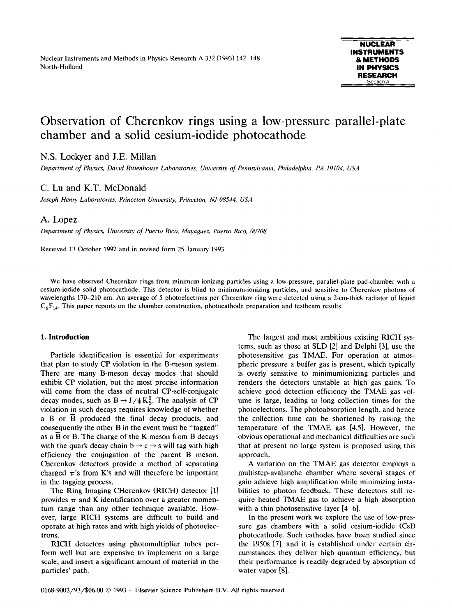# Observation of Cherenkov rings using a low-pressure parallel-plate chamber and a solid cesium-iodide photocathode

# N.S. Lockyer and J.E. Millan

Department of Physics, David Rittenhouse Laboratories, University of Pennsylvania, Philadelphia, PA 19104, USA

# C. Lu and K.T. McDonald

Joseph Henry Laboratories, Princeton University, Princeton, NJ 08544, USA

## A. Lopez

Department of Physics, University of Puerto Rico, Mayaguez, Puerto Rico, 00708

Received 13 October 1992 and in revised form 25 January 1993

We have observed Cherenkov rings from minimum-ionizing particles using <sup>a</sup> low-pressure, parallel-plate pad-chamber with <sup>a</sup> cesium-iodide solid photocathode . This detector is blind to minimum-ionizing particles, and sensitive to Cherenkov photons of wavelengths 170-210 nm. An average of 5 photoelectrons per Cherenkov ring were detected using a 2-cm-thick radiator of liquid  $C_6F_{14}$ . This paper reports on the chamber construction, photocathode preparation and testbeam results.

### 1. Introduction

Particle identification is essential for experiments that plan to study CP violation in the B-meson system . There are many B-meson decay modes that should exhibit CP violation, but the most precise information will come from the class of neutral CP-self-conjugate decay modes, such as  $B \rightarrow J/\psi K_S^0$ . The analysis of CP violation in such decays requires knowledge of whether <sup>a</sup> B or B produced the final decay products, and consequently the other B in the event must be "tagged" as a  $\overline{B}$  or  $B$ . The charge of the K meson from  $B$  decays with the quark decay chain  $b \rightarrow c \rightarrow s$  will tag with high efficiency the conjugation of the parent B meson. Cherenkov detectors provide a method of separating charged  $\pi$ 's from K's and will therefore be important in the tagging process.

The Ring Imaging CHerenkov (RICH) detector [1] provides  $\pi$  and K identification over a greater momentum range than any other technique available. However, large RICH systems are difficult to build and operate at high rates and with high yields of photoelectrons.

RICH detectors using photomultiplier tubes perform well but are expensive to implement on a large scale, and insert a significant amount of material in the particles' path.

The largest and most ambitious existing RICH systems, such as those at SLD [2j and Delphi [3], use the photosensitive gas TMAE. For operation at atmospheric pressure a buffer gas is present, which typically is overly sensitive to minimumionizing particles and renders the detectors unstable at high gas gains. To achieve good detection efficiency the TMAE gas volume is large, leading to long collection times for the photoelectrons. The photoabsorption length, and hence the collection time can be shortened by raising the temperature of the TMAE gas [4,5]. However, the obvious operational and mechanical difficulties are such that at present no large system is proposed using this approach.

A variation on the TMAE gas detector employs <sup>a</sup> multistep-avalanche chamber where several stages of gain achieve high amplification while minimizing instabilities to photon feedback . These detectors still require heated TMAE gas to achieve <sup>a</sup> high absorption with a thin photosensitive layer [4-6].

In the present work we explore the use of low-pressure gas chambers with a solid cesium-iodide (CsI) photocathode. Such cathodes have been studied since the 1950s [7], and it is established under certain circumstances they deliver high quantum efficiency, but their performance is readily degraded by absorption of water vapor [8].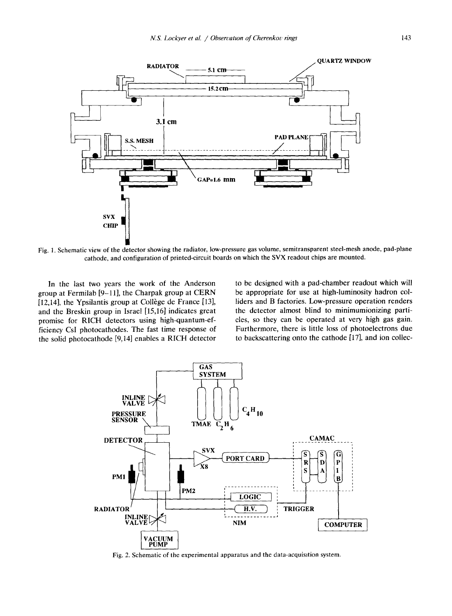

Fig. 1. Schematic view of the detector showing the radiator, low-pressure gas volume, semitransparent steel-mesh anode, pad-plane cathode, and configuration of printed-circuit boards on which the SVX readout chips are mounted.

In the last two years the work of the Anderson group at Fermilab [9-11], the Charpak group at CERN [12,14], the Ypsilantis group at Collège de France [13], and the Breskin group in Israel [15,16] indicates great promise for RICH detectors using high-quantum-efficiency CsI photocathodes. The fast time response of the solid photocathode [9,14] enables <sup>a</sup> RICH detector to be designed with a pad-chamber readout which will be appropriate for use at high-luminosity hadron colliders and B factories. Low-pressure operation renders the detector almost blind to minimumionizing particles, so they can be operated at very high gas gain. Furthermore, there is little loss of photoelectrons due to backscattering onto the cathode [17], and ion collec-



2. Schematic of the experimental apparatus and the data-acquisition system .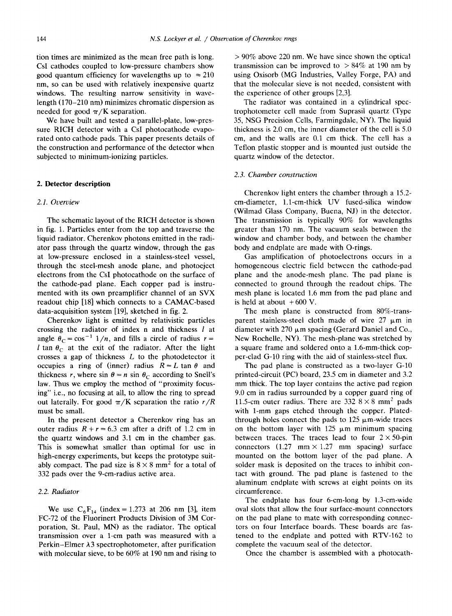tion times are minimized as the mean free path is long. CsI cathodes coupled to low-pressure chambers show good quantum efficiency for wavelengths up to  $\approx 210$ nm, so can be used with relatively inexpensive quartz windows. The resulting narrow sensitivity in wavelength (170–210 nm) minimizes chromatic dispersion as needed for good  $\pi/K$  separation.

We have built and tested <sup>a</sup> parallel-plate, low-pressure RICH detector with <sup>a</sup> CsI photocathode evaporated onto cathode pads. This paper presents details of the construction and performance of the detector when subjected to minimum-ionizing particles.

#### 2. Detector description

#### 2.1 . Overview

The schematic layout of the RICH detector is shown in fig. 1. Particles enter from the top and traverse the liquid radiator. Cherenkov photons emitted in the radiator pass through the quartz window, through the gas at low-pressure enclosed in a stainless-steel vessel, through the steel-mesh anode plane, and photoeject electrons from the CsI photocathode on the surface of the cathode-pad plane. Each copper pad is instrumented with its own preamplifier channel of an SVX readout chip [18] which connects to a CAMAC-based data-acquisition system [19], sketched in fig. 2.

Cherenkov light is emitted by relativistic particles crossing the radiator of index n and thickness  $l$  at angle  $\theta_c = \cos^{-1} 1/n$ , and fills a circle of radius  $r =$ l tan  $\theta_c$  at the exit of the radiator. After the light crosses a gap of thickness  $L$  to the photodetector it occupies a ring of (inner) radius  $R = L \tan \theta$  and thickness r, where sin  $\theta = n \sin \theta_C$  according to Snell's law. Thus we employ the method of "proximity focusing" i.e., no focusing at all, to allow the ring to spread out laterally. For good  $\pi/K$  separation the ratio  $r/R$ must be small.

In the present detector a Cherenkov ring has an outer radius  $R + r = 6.3$  cm after a drift of 1.2 cm in the quartz windows and 3.1 cm in the chamber gas. This is somewhat smaller than optimal for use in high-energy experiments, but keeps the prototype suitably compact. The pad size is  $8 \times 8$  mm<sup>2</sup> for a total of 332 pads over the 9-cm-radius active area.

#### 2.2. Radiator

We use  $C_6F_{14}$  (index = 1.273 at 206 nm [3], item FC-72 of the Fluorinert Products Division of 3M Corporation, St. Paul, MN) as the radiator. The optical transmission over a 1-cm path was measured with a Perkin-Elmer  $\lambda$ 3 spectrophotometer, after purification with molecular sieve, to be  $60\%$  at 190 nm and rising to  $> 90\%$  above 220 nm. We have since shown the optical transmission can be improved to  $> 84\%$  at 190 nm by using Oxisorb (MG Industries, Valley Forge, PA) and that the molecular sieve is not needed, consistent with the experience of other groups [2,3].

The radiator was contained in a cylindrical spectrophotometer cell made from Suprasil quartz (Type 35, NSG Precision Cells, Farmingdale, NY). The liquid thickness is 2.0 cm, the inner diameter of the cell is <sup>5</sup> .0 em, and the walls are 0.1 cm thick. The cell has <sup>a</sup> Teflon plastic stopper and is mounted just outside the quartz window of the detector.

#### 2.3 . Chamber construction

Cherenkov light enters the chamber through a 15 .2 cm-diameter, 1.1-cm-thick UV fused-silica window (Wilmad Glass Company, Buena, NJ) in the detector . The transmission is typically 90% for wavelengths greater than 170 nm. The vacuum seals between the window and chamber body, and between the chamber body and endplate are made with O-rings.

Gas amplification of photoelectrons occurs in a homogeneous electric field between the cathode-pad plane and the anode-mesh plane . The pad plane is connected to ground through the readout chips. The mesh plane is located 1.6 mm from the pad plane and is held at about  $+600$  V.

The mesh plane is constructed from 80%-transparent stainless-steel cloth made of wire  $27 \mu m$  in diameter with 270  $\mu$ m spacing (Gerard Daniel and Co., New Rochelle, NY). The mesh-plane was stretched by a square frame and soldered onto a <sup>1</sup> .6-mm-thick copper-clad G-10 ring with the aid of stainless-steel flux.

The pad plane is constructed as a two-layer G-10 printed-circuit (PC) board, 23 .5 cm in diameter and 3.2 mm thick. The top layer contains the active pad region 9.0 cm in radius surrounded by <sup>a</sup> copper guard ring of 11.5-cm outer radius. There are 332  $8 \times 8$  mm<sup>2</sup> pads with 1-mm gaps etched through the copper. Platedthrough holes connect the pads to  $125 \mu m$ -wide traces on the bottom layer with  $125 \mu m$  minimum spacing between traces. The traces lead to four  $2 \times 50$ -pin connectors  $(1.27 \text{ mm} \times 1.27 \text{ mm} \text{ spacing})$  surface mounted on the bottom layer of the pad plane. A solder mask is deposited on the traces to inhibit contact with ground. The pad plane is fastened to the aluminum endplate with screws at eight points on its circumference.

The endplate has four 6-cm-long by 1.3-cm-wide oval slots that allow the four surface-mount connectors on the pad plane to mate with corresponding connectors on four Interface boards. These boards are fastened to the endplate and potted with RTV-162 to complete the vacuum seal of the detector.

Once the chamber is assembled with a photocath-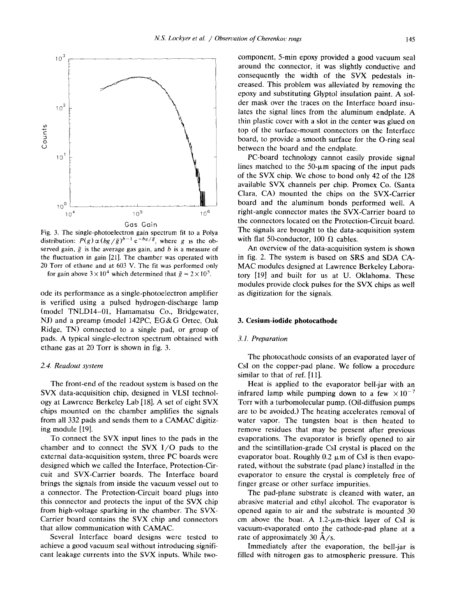

Fig. 3. The single-photoelectron gain spectrum fit to a Polya distribution:  $P(g) \propto (bg/\bar{g})^{b-1} e^{-bg/\bar{g}}$ , where g is the observed gain,  $\bar{g}$  is the average gas gain, and b is a measure of the fluctuation in gain [21]. The chamber was operated with <sup>20</sup> Torr of ethane and at <sup>603</sup> V. The fit was performed only for gain above  $3 \times 10^4$  which determined that  $\bar{g} = 2 \times 10^5$ .

ode its performance as a single-photoelectron amplifier is verified using a pulsed hydrogen-discharge lamp (model TNLD14-01, Hamamatsu Co., Bridgewater, NJ) and <sup>a</sup> preamp (model 142PC, EG&G Ortec, Oak Ridge, TN) connected to a single pad, or group of pads. A typical single-electron spectrum obtained with ethane gas at 20 Torr is shown in fig. 3.

#### 2.4. Readout system

The front-end of the readout system is based on the SVX data-acquisition chip, designed in VLSI technology at Lawrence Berkeley Lab [18] . A set of eight SVX chips mounted on the chamber amplifies the signals from all <sup>332</sup> pads and sends them to <sup>a</sup> CAMAC digitizing module [191.

To connect the SVX input lines to the pads in the chamber and to connect the SVX I/O pads to the external data-acquisition system, three PC boards were designed which we called the Interface, Protection-Circuit and SVX-Carrier boards. The Interface board brings the signals from inside the vacuum vessel out to a connector. The Protection-Circuit board plugs into this connector and protects the input of the SVX chip from high-voltage sparking in the chamber. The SVX-Carrier board contains the SVX chip and connectors that allow communication with CAMAC.

Several Interface board designs were tested to achieve a good vacuum seal without introducing significant leakage currents into the SVX inputs. While two-

component, 5-min epoxy provided a good vacuum seal around the connector, it was slightly conductive and consequently the width of the SVX pedestals increased. This problem was alleviated by removing the epoxy and substituting Glyptol insulation paint. A solder mask over the traces on the Interface board insulates the signal lines from the aluminum endplate. A thin plastic cover with <sup>a</sup> slot in the center was glued on top of the surface-mount connectors on the Interface board, to provide a smooth surface for the O-ring seal between the board and the endplate.

PC-board technology cannot easily provide signal lines matched to the  $50-\mu m$  spacing of the input pads of the SVX chip. We chose to bond only <sup>42</sup> of the <sup>128</sup> available SVX channels per chip. Promex Co. (Santa Clara, CA) mounted the chips on the SVX-Carrier board and the aluminum bonds performed well . A right-angle connector mates the SVX-Carrier board to the connectors located on the Protection-Circuit board. The signals are brought to the data-acquisition system with flat 50-conductor, 100  $\Omega$  cables.

An overview of the data-acquisition system is shown in fig. 2. The system is based on SRS and SDA CA-MAC modules designed at Lawrence Berkeley Laboratory [19] and built for us at U. Oklahoma. These modules provide clock pulses for the SVX chips as well as digitization for the signals.

#### 3. Cesium-iodide photocathode

#### 3.1 . Preparation

The photocathode consists of an evaporated layer of CsI on the copper-pad plane. We follow <sup>a</sup> procedure similar to that of ref. [11].

Heat is applied to the evaporator bell-jar with an infrared lamp while pumping down to a few  $\times 10^{-7}$ Torr with a turbomolecular pump. (Oil-diffusion pumps are to be avoided.) The heating accelerates removal of water vapor. The tungsten boat is then heated to remove residues that may be present after previous evaporations. The evaporator is briefly opened to air and the scintillation-grade CsI crystal is placed on the evaporator boat. Roughly 0.2  $\mu$ m of CsI is then evaporated, without the substrate (pad plane) installed in the evaporator to ensure the crystal is completely free of finger grease or other surface impurities.

The pad-plane substrate is cleaned with water, an abrasive material and ethyl alcohol. The evaporator is opened again to air and the substrate is mounted 30 cm above the boat. A  $1.2$ - $\mu$ m-thick layer of CsI is vacuum-evaporated onto the cathode-pad plane at a rate of approximately 30  $\AA$ /s.

Immediately after the evaporation, the bell-jar is filled with nitrogen gas to atmospheric pressure. This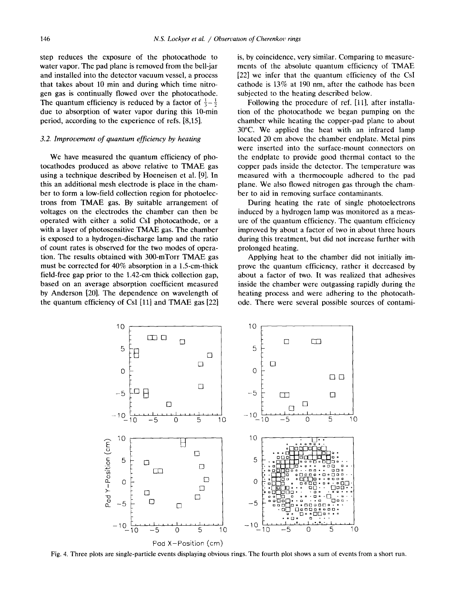step reduces the exposure of the photocathode to water vapor. The pad plane is removed from the bell-jar and installed into the detector vacuum vessel, a process that takes about 10 min and during which time nitrogen gas is continually flowed over the photocathode. The quantum efficiency is reduced by a factor of  $\frac{1}{3} - \frac{1}{2}$ due to absorption of water vapor during this 10-min period, according to the experience of refs . [8,15].

#### 3.2. Improvement of quantum efficiency by heating

We have measured the quantum efficiency of photocathodes produced as above relative to TMAE gas using a technique described by Hoeneisen et al. [9]. In this an additional mesh electrode is place in the chamber to form a low-field collection region for photoelectrons from TMAE gas. By suitable arrangement of voltages on the electrodes the chamber can then be operated with either a solid CsI photocathode, or a with <sup>a</sup> layer of photosensitive TMAE gas. The chamber is exposed to a hydrogen-discharge lamp and the ratio of count rates is observed for the two modes of operation. The results obtained with 300-mTorr TMAE gas must be corrected for 40% absorption in a <sup>1</sup> .5-cm-thick field-free gap prior to the <sup>1</sup> .42-cm thick collection gap, based on an average absorption coefficient measured by Anderson [20]. The dependence on wavelength of the quantum efficiency of CsI  $[11]$  and TMAE gas  $[22]$ 

is, by coincidence, very similar. Comparing to measurements of the absolute quantum efficiency of TMAE [22] we infer that the quantum efficiency of the Csl cathode is 13% at 190 nm, after the cathode has been subjected to the heating described below.

Following the procedure of ref. [11], after installation of the photocathode we began pumping on the chamber while heating the copper-pad plane to about 30°C. We applied the heat with an infrared lamp located 20 cm above the chamber endplate. Metal pins were inserted into the surface-mount connectors on the endplate to provide good thermal contact to the copper pads inside the detector. The temperature was measured with a thermocouple adhered to the pad plane. We also flowed nitrogen gas through the chamber to aid in removing surface contaminants.

During heating the rate of single photoelectrons induced by a hydrogen lamp was monitored as <sup>a</sup> measure of the quantum efficiency . The quantum efficiency improved by about a factor of two in about three hours during this treatment, but did not increase further with prolonged heating.

Applying heat to the chamber did not initially improve the quantum efficiency, rather it decreased by about <sup>a</sup> factor of two. It was realized that adhesives inside the chamber were outgassing rapidly during the heating process and were adhering to the photocathode. There were several possible sources of contami-



Fig. 4. Three plots are single-particle events displaying obvious rings. The fourth plot shows a sum of events from a short run.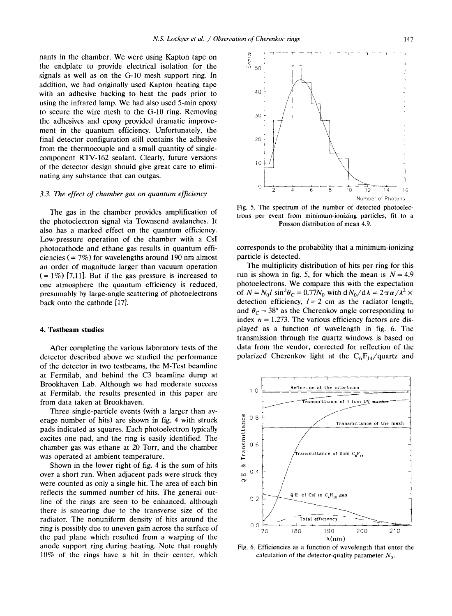nants in the chamber. We were using Kapton tape on the endplate to provide electrical isolation for the signals as well as on the G-10 mesh support ring. In addition, we had originally used Kapton heating tape with an adhesive backing to heat the pads prior to using the infrared lamp. We had also used 5-min epoxy to secure the wire mesh to the G-10 ring. Removing the adhesives and epoxy provided dramatic improvement in the quantum efficiency. Unfortunately, the final detector configuration still contains the adhesive from the thermocouple and a small quantity of singlecomponent RTV-162 sealant. Clearly, future versions of the detector design should give great care to eliminating any substance that can outgas.

## 3.3. The effect of chamber gas on quantum efficiency

The gas in the chamber provides amplification of the photoelectron signal via Townsend avalanches . It also has a marked effect on the quantum efficiency. Low-pressure operation of the chamber with a CsI photocathode and ethane gas results in quantum efficiencies ( $\approx$  7%) for wavelengths around 190 nm almost an order of magnitude larger than vacuum operation  $(z = 1\%)$  [7,11]. But if the gas pressure is increased to one atmosphere the quantum efficiency is reduced, presumably by large-angle scattering of photoelectrons back onto the cathode [17].

#### 4. Testbeam studies

After completing the various laboratory tests of the detector described above we studied the performance of the detector in two testbeams, the M-Test beamline at Fermilab, and behind the C3 beamline dump at Brookhaven Lab. Although we had moderate success at Fermilab, the results presented in this paper are from data taken at Brookhaven.

Three single-particle events (with a larger than average number of hits) are shown in fig. 4 with struck pads indicated as squares. Each photoelectron typically excites one pad, and the ring is easily identified. The chamber gas was ethane at 20 Torr, and the chamber was operated at ambient temperature.

Shown in the lower-right of fig. 4 is the sum of hits over a short run. When adjacent pads were struck they were counted as only a single hit. The area of each bin reflects the summed number of hits. The general outline of the rings are seen to be enhanced, although there is smearing due to the transverse size of the radiator. The nonuniform density of hits around the ring is possibly due to uneven gain across the surface of the pad plane which resulted from <sup>a</sup> warping of the anode support ring during heating. Note that roughly 10% of the rings have a hit in their center, which



Fig. 5. The spectrum of the number of detected photoelectrons per event from minimum-ionizing particles, fit to a Poisson distribution of mean 4.9.

corresponds to the probability that a minimum-ionizing particle is detected.

The multiplicity distribution of hits per ring for this run is shown in fig. 5, for which the mean is  $N = 4.9$ photoelectrons. We compare this with the expectation of  $N = N_0 l \sin^2 \theta_C = 0.77 N_0$  with  $dN_0/d\lambda = 2\pi \alpha/\lambda^2 \times$ detection efficiency,  $l = 2$  cm as the radiator length, and  $\theta_c = 38^\circ$  as the Cherenkov angle corresponding to index  $n = 1.273$ . The various efficiency factors are displayed as a function of wavelength in fig. 6. The transmission through the quartz windows is based on data from the vendor, corrected for reflection of the polarized Cherenkov light at the  $C_6F_{14}/quartz$  and



Fig. 6. Efficiencies as a function of wavelength that enter the calculation of the detector-quality parameter  $N_0$ .